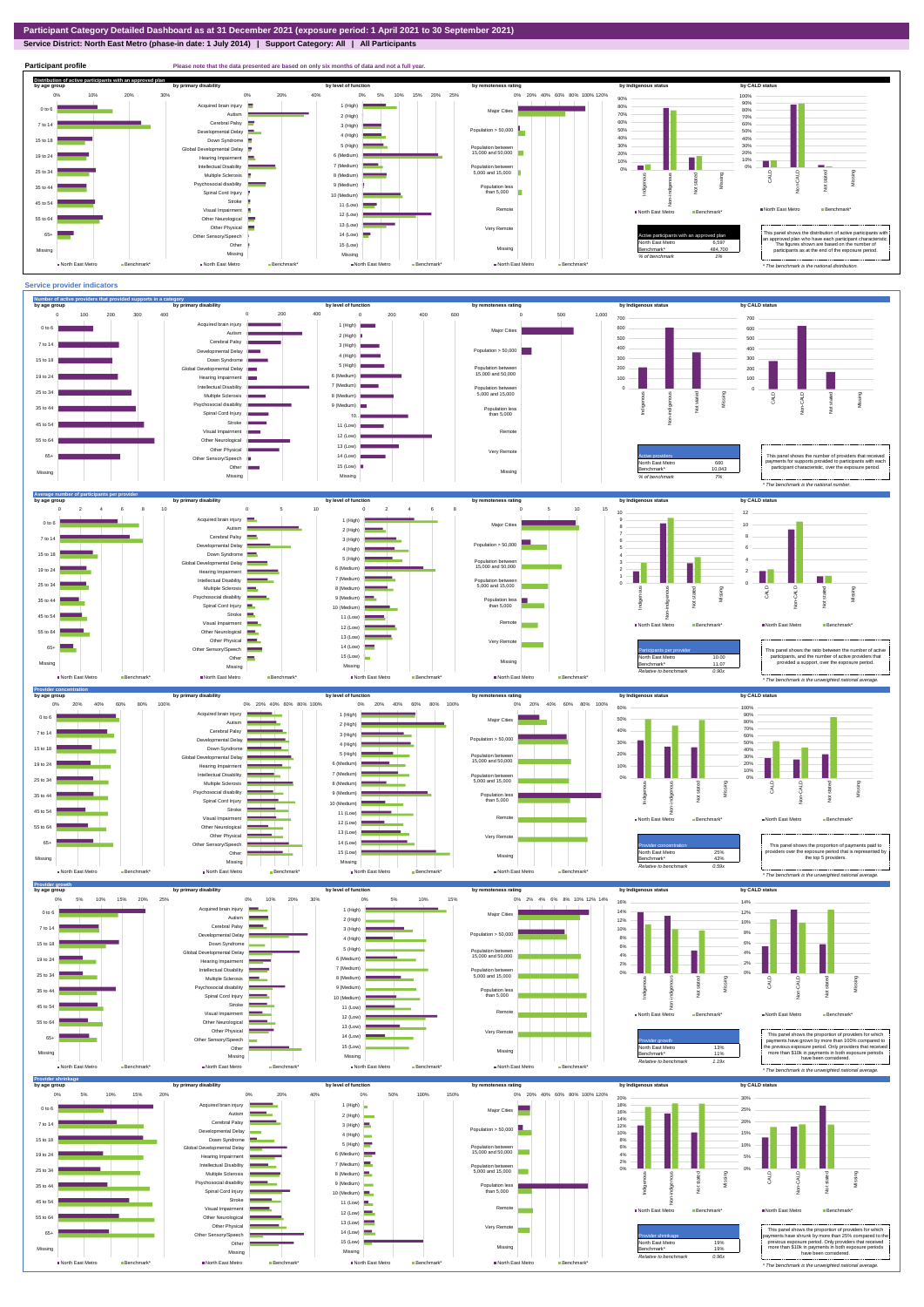### **Service District: North East Metro (phase-in date: 1 July 2014) | Support Category: All | All Participants**



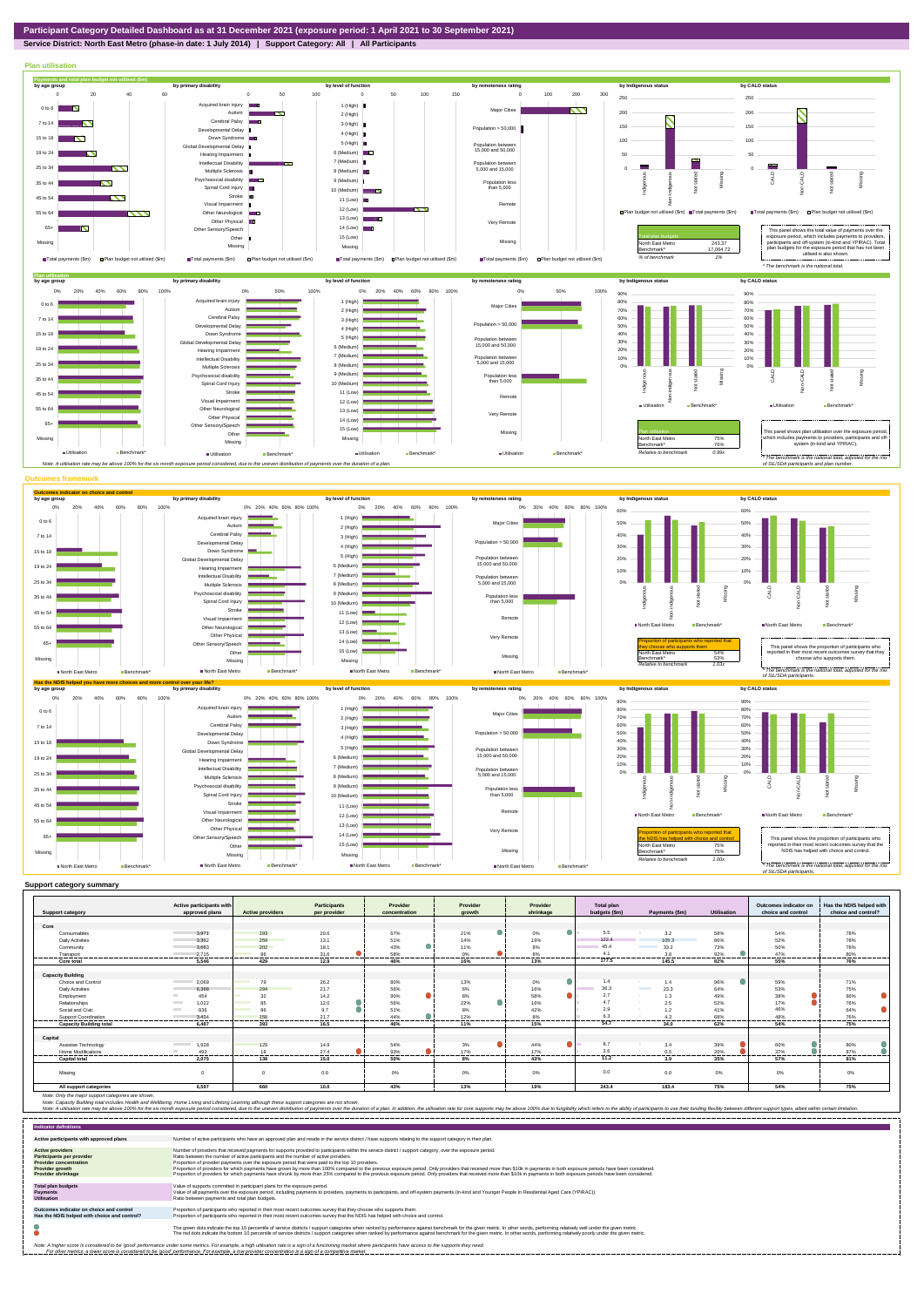# **Service District: North East Metro (phase-in date: 1 July 2014) | Support Category: All | All Participants**



|                                | Active participants with          |                                | <b>Participants</b> | Provider      | Provider | Provider        | <b>Total plan</b> |                           |                | Outcomes indicator on | Has the NDIS helped with |
|--------------------------------|-----------------------------------|--------------------------------|---------------------|---------------|----------|-----------------|-------------------|---------------------------|----------------|-----------------------|--------------------------|
| <b>Support category</b>        | approved plans                    | <b>Active providers</b>        | per provider        | concentration | arowth   | shrinkage       | budgets (\$m)     | Payments (\$m)            | Utilisation    | choice and control    | choice and control?      |
|                                |                                   |                                |                     |               |          |                 |                   |                           |                |                       |                          |
| Core                           |                                   |                                |                     |               |          |                 |                   |                           |                |                       |                          |
| Consumables                    | 3.971                             | 193                            | 20.6                | 67%           | 21%      | 0%              | 5.5               | 3.2                       | 58%            | 54%                   | 78%                      |
| <b>Daily Activities</b>        | 3.382                             | 259                            | 13.1                | 51%           | 14%      | 19%             | 122.4             | 105.3                     | 86%            | 52%                   | 78%                      |
| Community                      | 3,663                             | 202                            | 18.1                | 43%           | 11%      | 8%              | 45.4              | 33.2                      | 73%            | 50%                   | 78%                      |
| Transport                      | 2.715<br>---------                | 86                             | 31.6<br>-------     | 58%           | 0%       | 8%              | 4.1<br>.          | 3.8                       | 92%            | 47%<br>------         | 80%                      |
| Core total                     | 5.546                             | 429                            | 12.9                | 46%           | 16%      | 13%             | 177.5             | 145.5                     | 82%            | 55%                   | 76%                      |
|                                |                                   |                                |                     |               |          |                 |                   |                           |                |                       |                          |
| <b>Capacity Building</b>       |                                   |                                |                     |               |          |                 |                   |                           |                |                       |                          |
| <b>Choice and Control</b>      | 2,069                             | 79                             | 26.2                | 80%           | 13%      | 0%              | 1.4               | 1.4                       | 96%            | 59%                   | 71%                      |
| <b>Daily Activities</b>        | 6,368                             | 294                            | 21.7                | 56%           | 6%       | 16%             | 36.3              | <b>The Common</b><br>23.3 | 64%            | 53%                   | 75%                      |
| Employment                     | 454                               | 32                             | 14.2                | 90%           | 8%       | 58%             | 2.7               |                           | 49%            | 38%                   | 66%                      |
| Relationships                  | 1.022<br><b>Contract</b>          | 85<br><b>Contract Contract</b> | 12.0                | 56%           | 22%      | 16%             | 4.7               | 2.5                       | 52%            | 17%                   | 76%                      |
| Social and Civic               | 836<br><b>Contract</b>            | <b>Contract Contract</b><br>Rf | 9.7                 | 51%           | 8%       | 42%             | 2.9               | 1.2                       | 41%            | 46%                   | 64%                      |
| <b>Support Coordination</b>    | 3.434<br>-----------              | 158<br>,,,,,,,,,,              | 21.7<br>---------   | 44%<br>       | 12%<br>  | 8%<br>--------- | 63<br>----------  |                           | 68%<br>        | 48%<br>               | 76%<br>.                 |
| <b>Capacity Building total</b> | 6.487                             | 393                            | 16.5                | 46%           | 11%      | 15%             | 54.7              | 34.0                      | 62%            | 54%                   | 75%                      |
|                                |                                   |                                |                     |               |          |                 |                   |                           |                |                       |                          |
| Capital                        |                                   |                                |                     |               |          |                 |                   |                           |                |                       |                          |
| Assistive Technology           | 1,928<br><b>Contract Contract</b> | 129                            | 14.9                | 54%           | 3%       | 44%             | 8.7               | 3.4                       | 39%            | 60%                   | 80%                      |
| <b>Home Modifications</b>      | 493                               | 18                             | 27.4<br>-------     | 93%           | 17%<br>. | 17%<br>.        | 2.6<br>.          | 0.5                       | 20%<br>------- | 37%<br>------         | 87%                      |
| <b>Capital total</b>           | 2.075                             | 138                            | 15.0                | 50%           | 8%       | 43%             | 11.2              | 3.9                       | 35%            | 57%                   | 81%                      |
|                                |                                   |                                |                     |               |          |                 |                   |                           |                |                       |                          |
| Missing                        | $\Omega$                          | $\Omega$                       | 0.0                 | 0%            | $0\%$    | 0%              | 0.0               | 0.0                       | 0%             | 0%                    | 0%                       |
| All support categories         | 6,597                             | 660                            | 10.0                | 43%           | 13%      | 19%             | 243.4             | 183.4                     | 75%            | 54%                   | 75%                      |

Note: Only the major support categories are shown.<br>Note: Capacity Building total individual Wellbeing, Home Living and Lifelong Learning although these support categories are not shown.<br>Note: A utilisation rate may be abov

| <b>Indicator definitions</b>                                                                                                                        |                                                                                                                                                                                                                                                                                                                                                                                                                                                                                                                                                                                                                                                                                                                                                                                                                 |
|-----------------------------------------------------------------------------------------------------------------------------------------------------|-----------------------------------------------------------------------------------------------------------------------------------------------------------------------------------------------------------------------------------------------------------------------------------------------------------------------------------------------------------------------------------------------------------------------------------------------------------------------------------------------------------------------------------------------------------------------------------------------------------------------------------------------------------------------------------------------------------------------------------------------------------------------------------------------------------------|
| Active participants with approved plans                                                                                                             | Number of active participants who have an approved plan and reside in the service district / have supports relating to the support category in their plan.                                                                                                                                                                                                                                                                                                                                                                                                                                                                                                                                                                                                                                                      |
| <b>Active providers</b><br><b>Participants per provider</b><br><b>Provider concentration</b><br><b>Provider growth</b><br><b>Provider shrinkage</b> | Number of providers that received payments for supports provided to participants within the service district / support category, over the exposure period.<br>Ratio between the number of active participants and the number of active providers.<br>Proportion of provider payments over the exposure period that were paid to the top 10 providers.<br>Proportion of providers for which payments have grown by more than 100% compared to the previous exposure period. Only providers that received more than \$10k in payments in both exposure periods have been considered.<br>Proportion of providers for which payments have shrunk by more than 25% compared to the previous exposure period. Only providers that received more than \$10k in payments in both exposure periods have been considered. |
| <b>Total plan budgets</b><br><b>Payments</b><br><b>Utilisation</b>                                                                                  | Value of supports committed in participant plans for the exposure period.<br>Value of all payments over the exposure period, including payments to providers, payments to participants, and off-system payments (in-kind and Younger People In Residential Aged Care (YPIRAC)).<br>Ratio between payments and total plan budgets.                                                                                                                                                                                                                                                                                                                                                                                                                                                                               |
| Outcomes indicator on choice and control<br>Has the NDIS helped with choice and control?                                                            | Proportion of participants who reported in their most recent outcomes survey that they choose who supports them.<br>Proportion of participants who reported in their most recent outcomes survey that the NDIS has helped with choice and control.                                                                                                                                                                                                                                                                                                                                                                                                                                                                                                                                                              |
|                                                                                                                                                     | The green dots indicate the top 10 percentile of service districts / support categories when ranked by performance against benchmark for the given metric. In other words, performing relatively well under the given metric.<br>The red dots indicate the bottom 10 percentile of service districts / support categories when ranked by performance against benchmark for the given metric. In other words, performing relatively poorly under the given metri                                                                                                                                                                                                                                                                                                                                                 |
|                                                                                                                                                     | Note: A higher score is considered to be 'good' performance under some metrics. For example, a high utilisation rate is a sign of a functioning market where participants have access to the supports they need.<br>For other metrics, a lower score is considered to be 'good' performance. For example, a low provider concentration is a sign of a competitive market.                                                                                                                                                                                                                                                                                                                                                                                                                                       |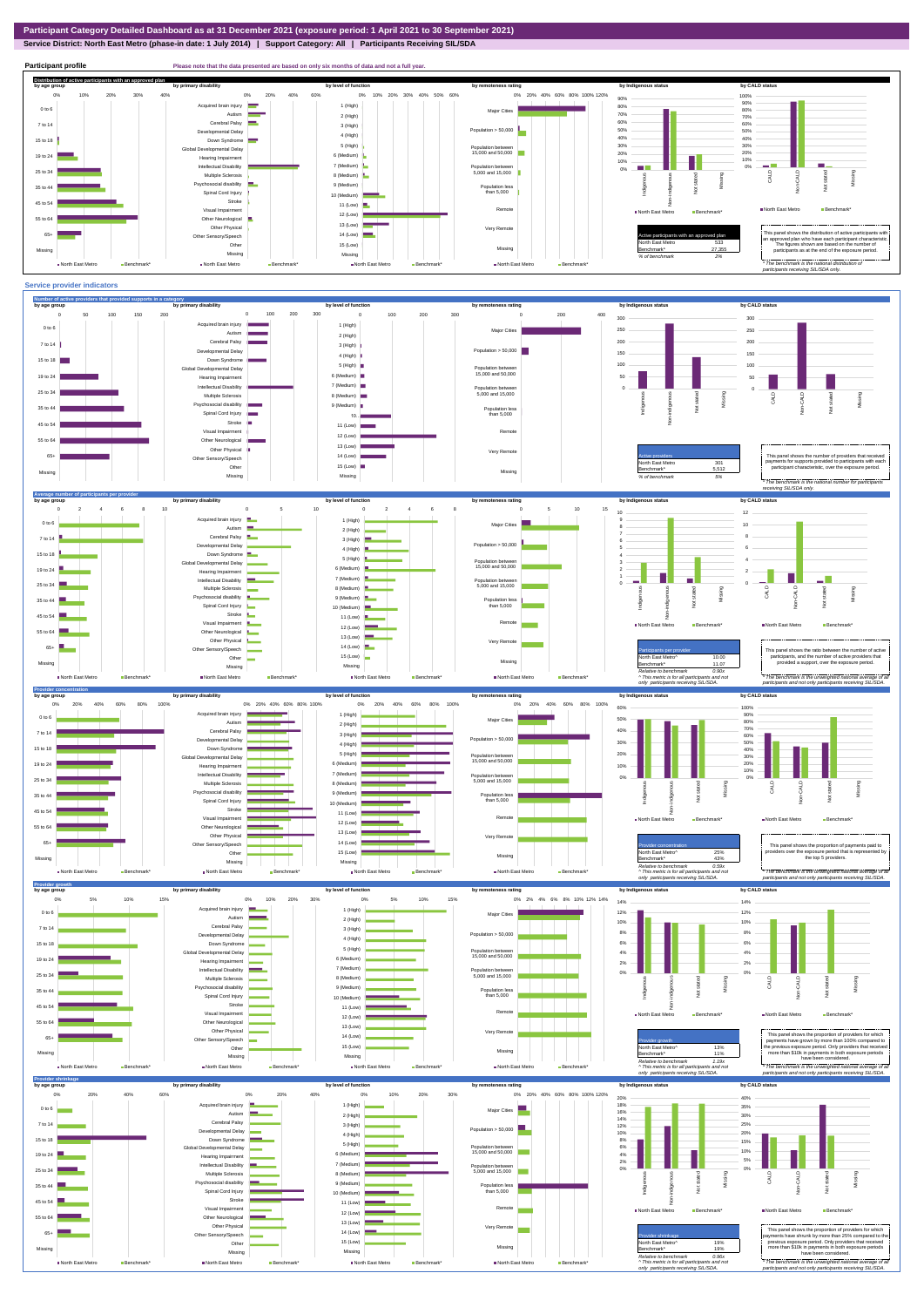**Service District: North East Metro (phase-in date: 1 July 2014) | Support Category: All | Participants Receiving SIL/SDA**



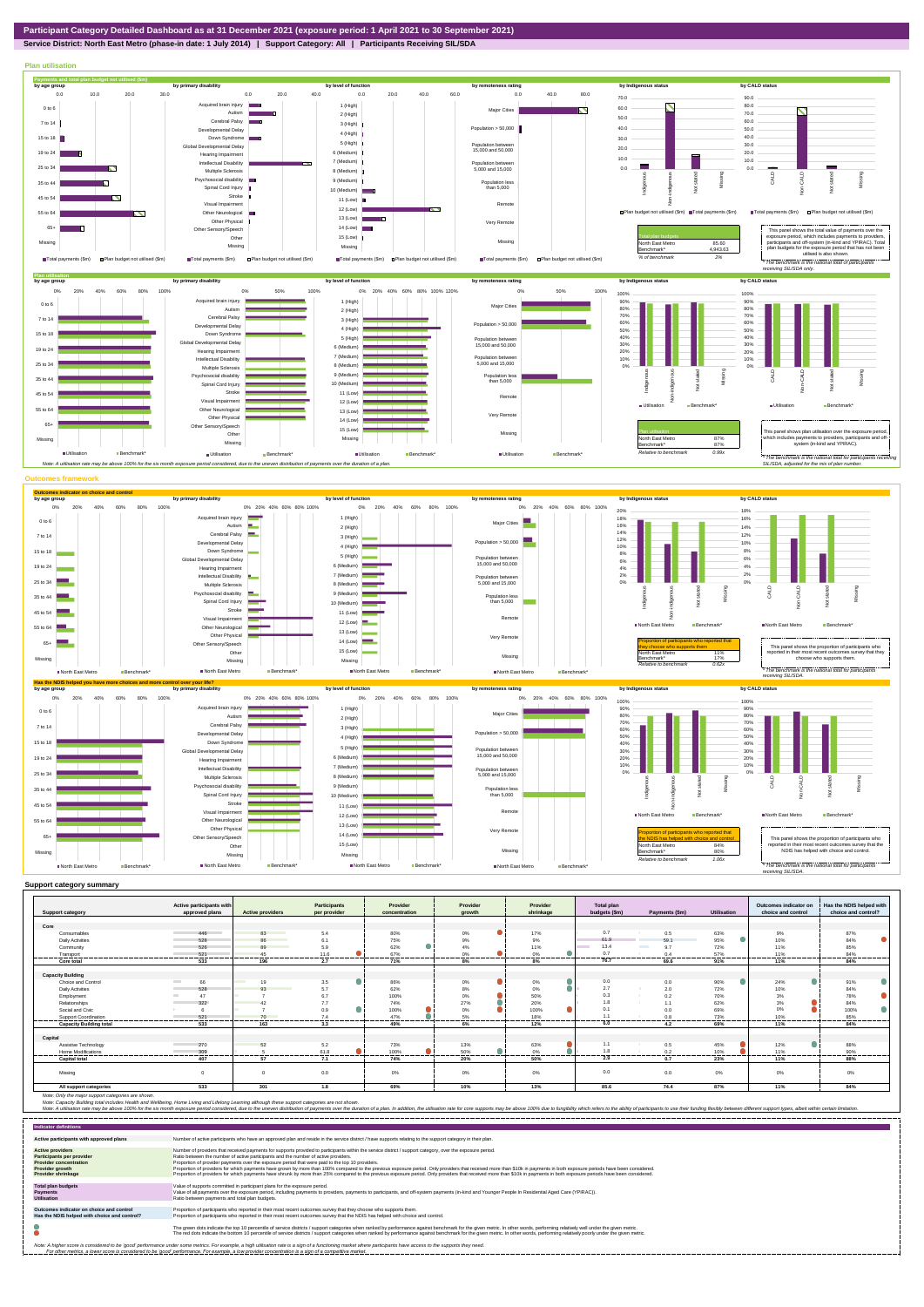

#### **Service District: North East Metro (phase-in date: 1 July 2014) | Support Category: All | Participants Receiving SIL/SDA**



| <b>Support category</b>        | Active participants with<br>approved plans | <b>Active providers</b> | <b>Participants</b><br>per provider | Provider<br>concentration | Provider<br>arowth       | Provider<br>shrinkage | <b>Total plan</b><br>budgets (\$m) | Payments (\$m)         | <b>Utilisation</b> | Outcomes indicator on<br>choice and control | Has the NDIS helped with<br>choice and control? |
|--------------------------------|--------------------------------------------|-------------------------|-------------------------------------|---------------------------|--------------------------|-----------------------|------------------------------------|------------------------|--------------------|---------------------------------------------|-------------------------------------------------|
|                                |                                            |                         |                                     |                           |                          |                       |                                    |                        |                    |                                             |                                                 |
| Core                           |                                            |                         |                                     |                           |                          |                       |                                    |                        |                    |                                             |                                                 |
| Consumables                    | 446                                        | 83                      | 5.4                                 | 80%                       | 0%                       | 17%                   | 0.7                                | 0.5                    | 63%                | 9%                                          | 87%                                             |
| <b>Daily Activities</b>        | 528                                        | 86                      | 6.1                                 | 75%                       | 9%                       | 9%                    | 61.9                               | 59.1                   | ∩<br>95%           | 10%                                         | 84%                                             |
| Community                      | 526                                        | 89                      | 5.9                                 | 62%                       | 4%                       | 11%                   | 13.4                               | <b>Contract</b><br>9.7 | 72%                | 11%                                         | 85%                                             |
| Transport                      | 521                                        | 45                      | 11.6                                | 67%                       | 0%                       | 0%                    | 0.7                                | 0.4                    | 57%                | 11%                                         | 84%                                             |
| Core total                     | 533                                        | 196                     | -----<br>2.7                        | 71%                       | 8%                       | 8%                    | 76.7                               | ------<br>69.6         | 91%                | 11%                                         | 84%                                             |
|                                |                                            |                         |                                     |                           |                          |                       |                                    |                        |                    |                                             |                                                 |
| <b>Capacity Building</b>       |                                            |                         |                                     |                           |                          |                       |                                    |                        |                    |                                             |                                                 |
| Choice and Control             | 66                                         | 19                      | 3.5                                 | 86%                       | 0%                       | 0%                    | 0.0                                | 0.0                    | 90%                | 24%                                         | 91%                                             |
| <b>Daily Activities</b>        | 528                                        | 93                      | 5.7                                 | 62%                       | 8%                       | 0%                    | 2.7                                | 2.0                    | 72%                | 10%                                         | 84%                                             |
| Employment                     | 47                                         |                         | 6.7                                 | 100%                      | 0%                       | 50%                   | 0.3                                | 0.2                    | 70%                | 3%                                          | 78%                                             |
| Relationships                  | 322                                        |                         | 7.7                                 | 74%                       | 27%                      | 20%                   | 1.8                                | 1.1                    | 62%                | 3%                                          | 84%                                             |
| Social and Civic               |                                            |                         | 0.9                                 | 100%                      | 0%                       | 100%                  | 0.1                                | 0.0                    | 69%                | 0%                                          | 100%                                            |
| Support Coordination           | 521<br>-------                             | 70<br>-----             | 7.4<br>--------                     | 47%<br>.                  | 5%<br><b>CONTRACTOR</b>  | 18%<br>               | 11                                 | 0.8<br>--------        | 73%<br>.           | 10%<br>------                               | 85%                                             |
| <b>Capacity Building total</b> | 533                                        | 163                     | 3.3                                 | 49%                       | 6%                       | 12%                   | 6.0                                | 4.2                    | 69%                | 11%                                         | 84%                                             |
| Capital                        |                                            |                         |                                     |                           |                          |                       |                                    |                        |                    |                                             |                                                 |
| Assistive Technology           | 270                                        | 52                      | 5.2                                 | 73%                       | 13%                      | 63%                   | 1.1                                | 0.5                    | 45%                | 12%                                         | 88%                                             |
| <b>Home Modifications</b>      | 309                                        | 5                       | 61.8                                | 100%                      | 50%                      | 0%                    | 1.8                                | 0.2                    | 10%                | 11%                                         | 90%                                             |
| <b>Capital total</b>           | <br>407                                    | .<br>57                 | .<br>7.1                            | <b>HOLLOW</b><br>74%      | <b>CONTRACTOR</b><br>20% | <b>Holland</b><br>50% | -------<br>2.9                     | .<br>0.7               | <br>23%            | <br>11%                                     | 88%                                             |
| Missing                        | $\circ$                                    | $\mathbf 0$             | 0.0                                 | 0%                        | 0%                       | 0%                    | 0.0                                | 0.0                    | $0\%$              | 0%                                          | 0%                                              |
| All support categories         | 533                                        | 301                     | 1.8                                 | 69%                       | 10%                      | 13%                   | 85.6                               | 74.4                   | 87%                | 11%                                         | 84%                                             |

| <b>Indicator definitions</b>                                                                                                                 |                                                                                                                                                                                                                                                                                                                                                                                                                                                                                                                                                                                                                                                                                                                                                                                                                 |
|----------------------------------------------------------------------------------------------------------------------------------------------|-----------------------------------------------------------------------------------------------------------------------------------------------------------------------------------------------------------------------------------------------------------------------------------------------------------------------------------------------------------------------------------------------------------------------------------------------------------------------------------------------------------------------------------------------------------------------------------------------------------------------------------------------------------------------------------------------------------------------------------------------------------------------------------------------------------------|
| Active participants with approved plans                                                                                                      | Number of active participants who have an approved plan and reside in the service district / have supports relating to the support category in their plan.                                                                                                                                                                                                                                                                                                                                                                                                                                                                                                                                                                                                                                                      |
| <b>Active providers</b><br>Participants per provider<br><b>Provider concentration</b><br><b>Provider growth</b><br><b>Provider shrinkage</b> | Number of providers that received payments for supports provided to participants within the service district / support category, over the exposure period,<br>Ratio between the number of active participants and the number of active providers.<br>Proportion of provider payments over the exposure period that were paid to the top 10 providers.<br>Proportion of providers for which payments have grown by more than 100% compared to the previous exposure period. Only providers that received more than \$10k in payments in both exposure periods have been considered.<br>Proportion of providers for which payments have shrunk by more than 25% compared to the previous exposure period. Only providers that received more than \$10k in payments in both exposure periods have been considered. |
| <b>Total plan budgets</b><br>Payments<br><b>Utilisation</b>                                                                                  | Value of supports committed in participant plans for the exposure period.<br>Value of all payments over the exposure period, including payments to providers, payments to participants, and off-system payments (in-kind and Younger People In Residential Aged Care (YPIRAC)).<br>Ratio between payments and total plan budgets.                                                                                                                                                                                                                                                                                                                                                                                                                                                                               |
| Outcomes indicator on choice and control<br>Has the NDIS helped with choice and control?                                                     | Proportion of participants who reported in their most recent outcomes survey that they choose who supports them.<br>Proportion of participants who reported in their most recent outcomes survey that the NDIS has helped with choice and control.                                                                                                                                                                                                                                                                                                                                                                                                                                                                                                                                                              |
|                                                                                                                                              | The green dots indicate the top 10 percentile of service districts / support categories when ranked by performance against benchmark for the given metric. In other words, performing relatively well under the given metric.<br>The red dots indicate the bottom 10 percentile of service districts / support categories when ranked by performance against benchmark for the given metric. In other words, performing relatively poorly under the given metri                                                                                                                                                                                                                                                                                                                                                 |
|                                                                                                                                              | Note: A higher score is considered to be 'good' performance under some metrics. For example, a high utilisation rate is a sign of a functioning market where participants have access to the supports they need.<br>For other metrics, a lower score is considered to be 'good' performance. For example, a low provider concentration is a sign of a competitive market.                                                                                                                                                                                                                                                                                                                                                                                                                                       |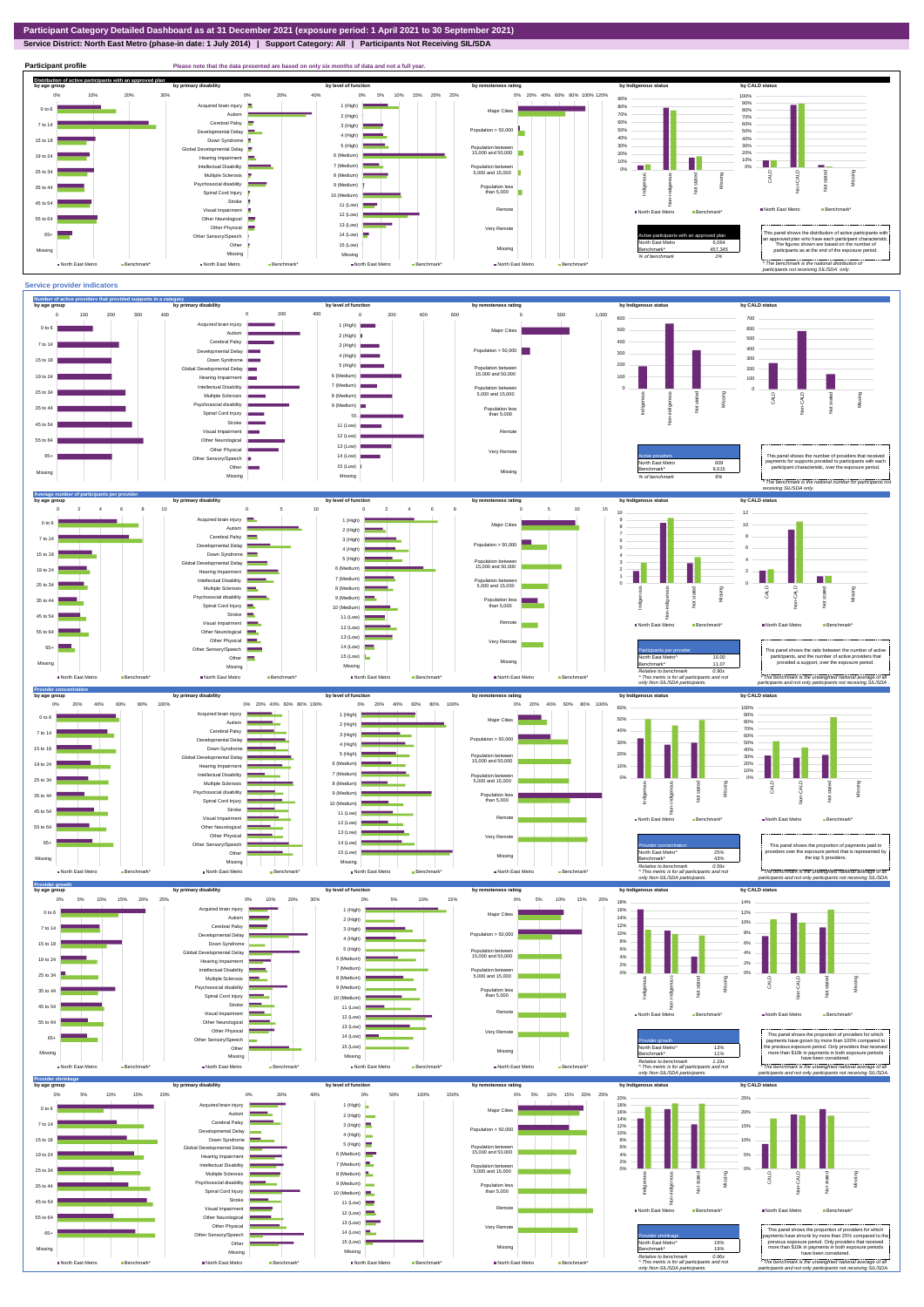## **Service District: North East Metro (phase-in date: 1 July 2014) | Support Category: All | Participants Not Receiving SIL/SDA**

**Participant profile Please note that the data presented are based on only six months of data and not a full year.**